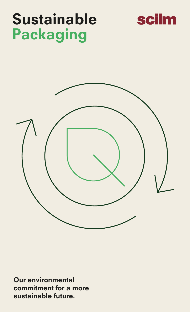

# Sustainable Packaging



Our environmental commitment for a more sustainable future.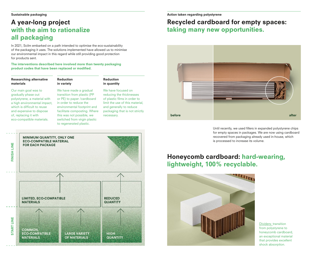### A year-long project with the aim to rationalize all packaging

In 2021, Scilm embarked on a path intended to optimise the eco-sustainability of the packaging it uses. The solutions implemented have allowed us to minimise our environmental impact in this regard while still providing good protection for products sent.

The interventions described here involved more than twenty packaging product codes that have been replaced or modified.

#### Researching alternative materials

which is difficult to reuse and expensive to dispose of, replacing it with eco-compatible materials.

Our main goal was to gradually phase out polystyrene, a material with

#### Reduction in variety

a high environmental impact, We have made a gradual transition from plastic (PP or PE) to paper /cardboard in order to reduce the environmental footprint and facilitate composting. Where this was not possible, we switched from virgin plastic to regenerated plastic.

#### We have focused on reducing the thicknesses of plastic films in order to limit the use of this material, and generally to reduce packaging that is not strictly

Reduction in quantity

necessary.

#### Action taken regarding polystyrene

## Recycled cardboard for empty spaces: taking many new opportunities.



Until recently, we used fillers in expanded polystyrene chips for empty spaces in packages. We are now using cardboard recovered from packaging already used in-house, which is processed to increase its volume.

### Honeycomb cardboard: hard-wearing, lightweight, 100% recyclable.



Dividers: transition from polystyrene to honeycomb cardboard, an exceptional material that provides excellent shock absorption.

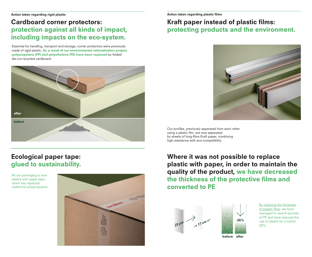## Cardboard corner protectors: protection against all kinds of impact, including impacts on the eco-system.

Essential for handling, transport and storage, corner protectors were previously made of rigid plastic. As a result of our environmental rationalisation project, polypropylene (PP) and polyethylene (PE) have been replaced by folded die-cut recycled cardboard.



## Ecological paper tape: glued to sustainability.

All our packaging is now sealed with paper tape, which has replaced traditional polypropylene



# Kraft paper instead of plastic films: protecting products and the environment.



Our profiles, previously separated from each other using a plastic film, are now separated by sheets of long-fibre Kraft paper, combining high resistance with eco-compatibility.

Where it was not possible to replace plastic with paper, in order to maintain the quality of the product, we have decreased the thickness of the protective films and converted to PE

 $3 17$  nm<sup>2</sup> 23 μ<sup>m</sup>



before after

By reducing the thickness of plastic films, we have managed to save 6 quintals of PE and have reduced the use of plastic by a further 26%.